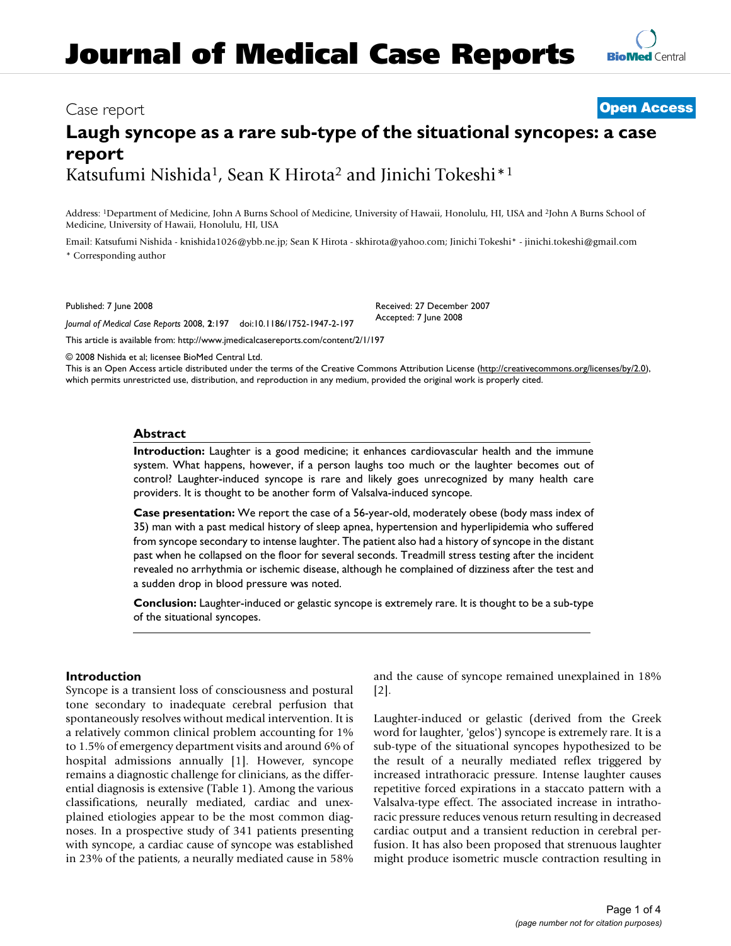# **Journal of Medical Case Reports**

## Case report **[Open Access](http://www.biomedcentral.com/info/about/charter/)**

# **Laugh syncope as a rare sub-type of the situational syncopes: a case report** Katsufumi Nishida<sup>1</sup>, Sean K Hirota<sup>2</sup> and Jinichi Tokeshi<sup>\*1</sup>

Address: 1Department of Medicine, John A Burns School of Medicine, University of Hawaii, Honolulu, HI, USA and 2John A Burns School of Medicine, University of Hawaii, Honolulu, HI, USA

Email: Katsufumi Nishida - knishida1026@ybb.ne.jp; Sean K Hirota - skhirota@yahoo.com; Jinichi Tokeshi\* - jinichi.tokeshi@gmail.com \* Corresponding author

Published: 7 June 2008

*Journal of Medical Case Reports* 2008, **2**:197 doi:10.1186/1752-1947-2-197

[This article is available from: http://www.jmedicalcasereports.com/content/2/1/197](http://www.jmedicalcasereports.com/content/2/1/197)

© 2008 Nishida et al; licensee BioMed Central Ltd.

This is an Open Access article distributed under the terms of the Creative Commons Attribution License [\(http://creativecommons.org/licenses/by/2.0\)](http://creativecommons.org/licenses/by/2.0), which permits unrestricted use, distribution, and reproduction in any medium, provided the original work is properly cited.

## **Abstract**

**Introduction:** Laughter is a good medicine; it enhances cardiovascular health and the immune system. What happens, however, if a person laughs too much or the laughter becomes out of control? Laughter-induced syncope is rare and likely goes unrecognized by many health care providers. It is thought to be another form of Valsalva-induced syncope.

**Case presentation:** We report the case of a 56-year-old, moderately obese (body mass index of 35) man with a past medical history of sleep apnea, hypertension and hyperlipidemia who suffered from syncope secondary to intense laughter. The patient also had a history of syncope in the distant past when he collapsed on the floor for several seconds. Treadmill stress testing after the incident revealed no arrhythmia or ischemic disease, although he complained of dizziness after the test and a sudden drop in blood pressure was noted.

**Conclusion:** Laughter-induced or gelastic syncope is extremely rare. It is thought to be a sub-type of the situational syncopes.

### **Introduction**

Syncope is a transient loss of consciousness and postural tone secondary to inadequate cerebral perfusion that spontaneously resolves without medical intervention. It is a relatively common clinical problem accounting for 1% to 1.5% of emergency department visits and around 6% of hospital admissions annually [1]. However, syncope remains a diagnostic challenge for clinicians, as the differential diagnosis is extensive (Table 1). Among the various classifications, neurally mediated, cardiac and unexplained etiologies appear to be the most common diagnoses. In a prospective study of 341 patients presenting with syncope, a cardiac cause of syncope was established in 23% of the patients, a neurally mediated cause in 58% and the cause of syncope remained unexplained in 18% [2].

Laughter-induced or gelastic (derived from the Greek word for laughter, 'gelos') syncope is extremely rare. It is a sub-type of the situational syncopes hypothesized to be the result of a neurally mediated reflex triggered by increased intrathoracic pressure. Intense laughter causes repetitive forced expirations in a staccato pattern with a Valsalva-type effect. The associated increase in intrathoracic pressure reduces venous return resulting in decreased cardiac output and a transient reduction in cerebral perfusion. It has also been proposed that strenuous laughter might produce isometric muscle contraction resulting in



Received: 27 December 2007 Accepted: 7 June 2008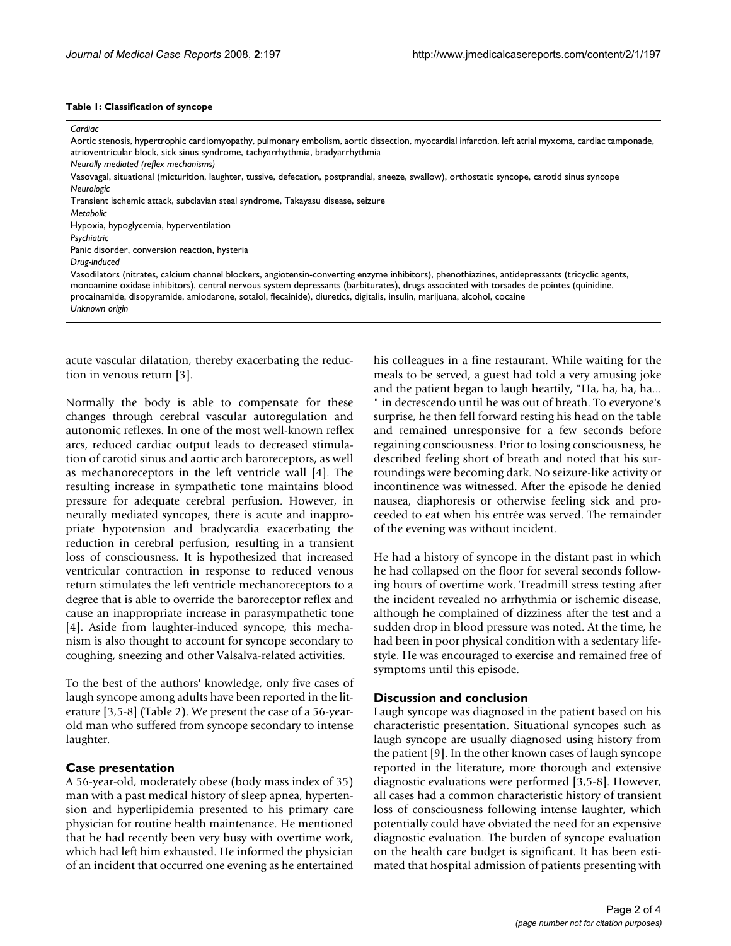#### **Table 1: Classification of syncope**

#### *Cardiac*

Aortic stenosis, hypertrophic cardiomyopathy, pulmonary embolism, aortic dissection, myocardial infarction, left atrial myxoma, cardiac tamponade, atrioventricular block, sick sinus syndrome, tachyarrhythmia, bradyarrhythmia

Vasovagal, situational (micturition, laughter, tussive, defecation, postprandial, sneeze, swallow), orthostatic syncope, carotid sinus syncope *Neurologic*

Transient ischemic attack, subclavian steal syndrome, Takayasu disease, seizure

*Metabolic*

Hypoxia, hypoglycemia, hyperventilation

*Psychiatric*

Panic disorder, conversion reaction, hysteria

*Drug-induced*

Vasodilators (nitrates, calcium channel blockers, angiotensin-converting enzyme inhibitors), phenothiazines, antidepressants (tricyclic agents, monoamine oxidase inhibitors), central nervous system depressants (barbiturates), drugs associated with torsades de pointes (quinidine, procainamide, disopyramide, amiodarone, sotalol, flecainide), diuretics, digitalis, insulin, marijuana, alcohol, cocaine *Unknown origin*

acute vascular dilatation, thereby exacerbating the reduction in venous return [3].

Normally the body is able to compensate for these changes through cerebral vascular autoregulation and autonomic reflexes. In one of the most well-known reflex arcs, reduced cardiac output leads to decreased stimulation of carotid sinus and aortic arch baroreceptors, as well as mechanoreceptors in the left ventricle wall [4]. The resulting increase in sympathetic tone maintains blood pressure for adequate cerebral perfusion. However, in neurally mediated syncopes, there is acute and inappropriate hypotension and bradycardia exacerbating the reduction in cerebral perfusion, resulting in a transient loss of consciousness. It is hypothesized that increased ventricular contraction in response to reduced venous return stimulates the left ventricle mechanoreceptors to a degree that is able to override the baroreceptor reflex and cause an inappropriate increase in parasympathetic tone [4]. Aside from laughter-induced syncope, this mechanism is also thought to account for syncope secondary to coughing, sneezing and other Valsalva-related activities.

To the best of the authors' knowledge, only five cases of laugh syncope among adults have been reported in the literature [3,5-8] (Table 2). We present the case of a 56-yearold man who suffered from syncope secondary to intense laughter.

### **Case presentation**

A 56-year-old, moderately obese (body mass index of 35) man with a past medical history of sleep apnea, hypertension and hyperlipidemia presented to his primary care physician for routine health maintenance. He mentioned that he had recently been very busy with overtime work, which had left him exhausted. He informed the physician of an incident that occurred one evening as he entertained

his colleagues in a fine restaurant. While waiting for the meals to be served, a guest had told a very amusing joke and the patient began to laugh heartily, "Ha, ha, ha, ha... " in decrescendo until he was out of breath. To everyone's surprise, he then fell forward resting his head on the table and remained unresponsive for a few seconds before regaining consciousness. Prior to losing consciousness, he described feeling short of breath and noted that his surroundings were becoming dark. No seizure-like activity or incontinence was witnessed. After the episode he denied nausea, diaphoresis or otherwise feeling sick and proceeded to eat when his entrée was served. The remainder of the evening was without incident.

He had a history of syncope in the distant past in which he had collapsed on the floor for several seconds following hours of overtime work. Treadmill stress testing after the incident revealed no arrhythmia or ischemic disease, although he complained of dizziness after the test and a sudden drop in blood pressure was noted. At the time, he had been in poor physical condition with a sedentary lifestyle. He was encouraged to exercise and remained free of symptoms until this episode.

### **Discussion and conclusion**

Laugh syncope was diagnosed in the patient based on his characteristic presentation. Situational syncopes such as laugh syncope are usually diagnosed using history from the patient [9]. In the other known cases of laugh syncope reported in the literature, more thorough and extensive diagnostic evaluations were performed [3,5-8]. However, all cases had a common characteristic history of transient loss of consciousness following intense laughter, which potentially could have obviated the need for an expensive diagnostic evaluation. The burden of syncope evaluation on the health care budget is significant. It has been estimated that hospital admission of patients presenting with

*Neurally mediated (reflex mechanisms)*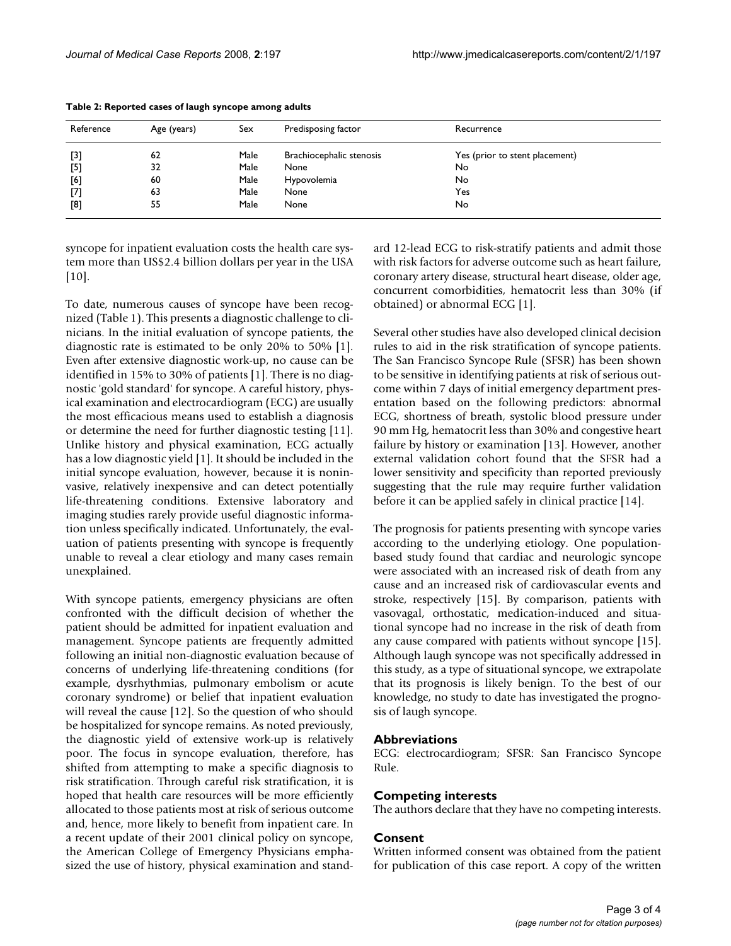| Reference | Age (years) | Sex  | Predisposing factor      | Recurrence                     |  |
|-----------|-------------|------|--------------------------|--------------------------------|--|
| $[3]$     | 62          | Male | Brachiocephalic stenosis | Yes (prior to stent placement) |  |
| $[5]$     | 32          | Male | None                     | No                             |  |
| [6]       | 60          | Male | Hypovolemia              | No                             |  |
| $^{[7]}$  | 63          | Male | None                     | Yes                            |  |
| [8]       | 55          | Male | None                     | No                             |  |

**Table 2: Reported cases of laugh syncope among adults**

syncope for inpatient evaluation costs the health care system more than US\$2.4 billion dollars per year in the USA [10].

To date, numerous causes of syncope have been recognized (Table 1). This presents a diagnostic challenge to clinicians. In the initial evaluation of syncope patients, the diagnostic rate is estimated to be only 20% to 50% [1]. Even after extensive diagnostic work-up, no cause can be identified in 15% to 30% of patients [1]. There is no diagnostic 'gold standard' for syncope. A careful history, physical examination and electrocardiogram (ECG) are usually the most efficacious means used to establish a diagnosis or determine the need for further diagnostic testing [11]. Unlike history and physical examination, ECG actually has a low diagnostic yield [1]. It should be included in the initial syncope evaluation, however, because it is noninvasive, relatively inexpensive and can detect potentially life-threatening conditions. Extensive laboratory and imaging studies rarely provide useful diagnostic information unless specifically indicated. Unfortunately, the evaluation of patients presenting with syncope is frequently unable to reveal a clear etiology and many cases remain unexplained.

With syncope patients, emergency physicians are often confronted with the difficult decision of whether the patient should be admitted for inpatient evaluation and management. Syncope patients are frequently admitted following an initial non-diagnostic evaluation because of concerns of underlying life-threatening conditions (for example, dysrhythmias, pulmonary embolism or acute coronary syndrome) or belief that inpatient evaluation will reveal the cause [12]. So the question of who should be hospitalized for syncope remains. As noted previously, the diagnostic yield of extensive work-up is relatively poor. The focus in syncope evaluation, therefore, has shifted from attempting to make a specific diagnosis to risk stratification. Through careful risk stratification, it is hoped that health care resources will be more efficiently allocated to those patients most at risk of serious outcome and, hence, more likely to benefit from inpatient care. In a recent update of their 2001 clinical policy on syncope, the American College of Emergency Physicians emphasized the use of history, physical examination and standard 12-lead ECG to risk-stratify patients and admit those with risk factors for adverse outcome such as heart failure, coronary artery disease, structural heart disease, older age, concurrent comorbidities, hematocrit less than 30% (if obtained) or abnormal ECG [1].

Several other studies have also developed clinical decision rules to aid in the risk stratification of syncope patients. The San Francisco Syncope Rule (SFSR) has been shown to be sensitive in identifying patients at risk of serious outcome within 7 days of initial emergency department presentation based on the following predictors: abnormal ECG, shortness of breath, systolic blood pressure under 90 mm Hg, hematocrit less than 30% and congestive heart failure by history or examination [13]. However, another external validation cohort found that the SFSR had a lower sensitivity and specificity than reported previously suggesting that the rule may require further validation before it can be applied safely in clinical practice [14].

The prognosis for patients presenting with syncope varies according to the underlying etiology. One populationbased study found that cardiac and neurologic syncope were associated with an increased risk of death from any cause and an increased risk of cardiovascular events and stroke, respectively [15]. By comparison, patients with vasovagal, orthostatic, medication-induced and situational syncope had no increase in the risk of death from any cause compared with patients without syncope [15]. Although laugh syncope was not specifically addressed in this study, as a type of situational syncope, we extrapolate that its prognosis is likely benign. To the best of our knowledge, no study to date has investigated the prognosis of laugh syncope.

### **Abbreviations**

ECG: electrocardiogram; SFSR: San Francisco Syncope Rule.

### **Competing interests**

The authors declare that they have no competing interests.

### **Consent**

Written informed consent was obtained from the patient for publication of this case report. A copy of the written